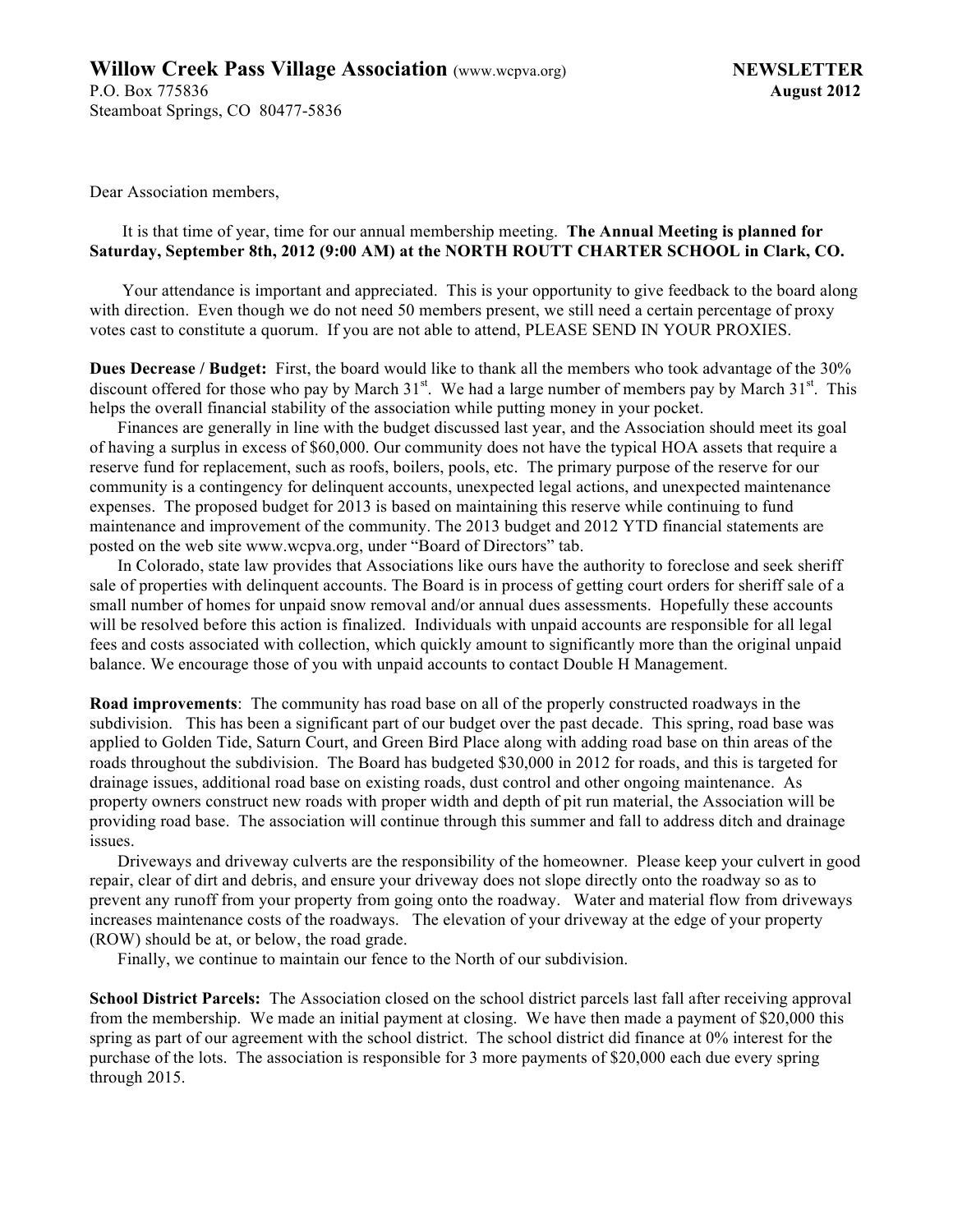Dear Association members,

#### It is that time of year, time for our annual membership meeting. **The Annual Meeting is planned for Saturday, September 8th, 2012 (9:00 AM) at the NORTH ROUTT CHARTER SCHOOL in Clark, CO.**

Your attendance is important and appreciated. This is your opportunity to give feedback to the board along with direction. Even though we do not need 50 members present, we still need a certain percentage of proxy votes cast to constitute a quorum. If you are not able to attend, PLEASE SEND IN YOUR PROXIES.

**Dues Decrease / Budget:** First, the board would like to thank all the members who took advantage of the 30% discount offered for those who pay by March  $31<sup>st</sup>$ . We had a large number of members pay by March  $31<sup>st</sup>$ . This helps the overall financial stability of the association while putting money in your pocket.

Finances are generally in line with the budget discussed last year, and the Association should meet its goal of having a surplus in excess of \$60,000. Our community does not have the typical HOA assets that require a reserve fund for replacement, such as roofs, boilers, pools, etc. The primary purpose of the reserve for our community is a contingency for delinquent accounts, unexpected legal actions, and unexpected maintenance expenses. The proposed budget for 2013 is based on maintaining this reserve while continuing to fund maintenance and improvement of the community. The 2013 budget and 2012 YTD financial statements are posted on the web site www.wcpva.org, under "Board of Directors" tab.

In Colorado, state law provides that Associations like ours have the authority to foreclose and seek sheriff sale of properties with delinquent accounts. The Board is in process of getting court orders for sheriff sale of a small number of homes for unpaid snow removal and/or annual dues assessments. Hopefully these accounts will be resolved before this action is finalized. Individuals with unpaid accounts are responsible for all legal fees and costs associated with collection, which quickly amount to significantly more than the original unpaid balance. We encourage those of you with unpaid accounts to contact Double H Management.

**Road improvements**: The community has road base on all of the properly constructed roadways in the subdivision. This has been a significant part of our budget over the past decade. This spring, road base was applied to Golden Tide, Saturn Court, and Green Bird Place along with adding road base on thin areas of the roads throughout the subdivision. The Board has budgeted \$30,000 in 2012 for roads, and this is targeted for drainage issues, additional road base on existing roads, dust control and other ongoing maintenance. As property owners construct new roads with proper width and depth of pit run material, the Association will be providing road base. The association will continue through this summer and fall to address ditch and drainage issues.

Driveways and driveway culverts are the responsibility of the homeowner. Please keep your culvert in good repair, clear of dirt and debris, and ensure your driveway does not slope directly onto the roadway so as to prevent any runoff from your property from going onto the roadway. Water and material flow from driveways increases maintenance costs of the roadways. The elevation of your driveway at the edge of your property (ROW) should be at, or below, the road grade.

Finally, we continue to maintain our fence to the North of our subdivision.

**School District Parcels:** The Association closed on the school district parcels last fall after receiving approval from the membership. We made an initial payment at closing. We have then made a payment of \$20,000 this spring as part of our agreement with the school district. The school district did finance at 0% interest for the purchase of the lots. The association is responsible for 3 more payments of \$20,000 each due every spring through 2015.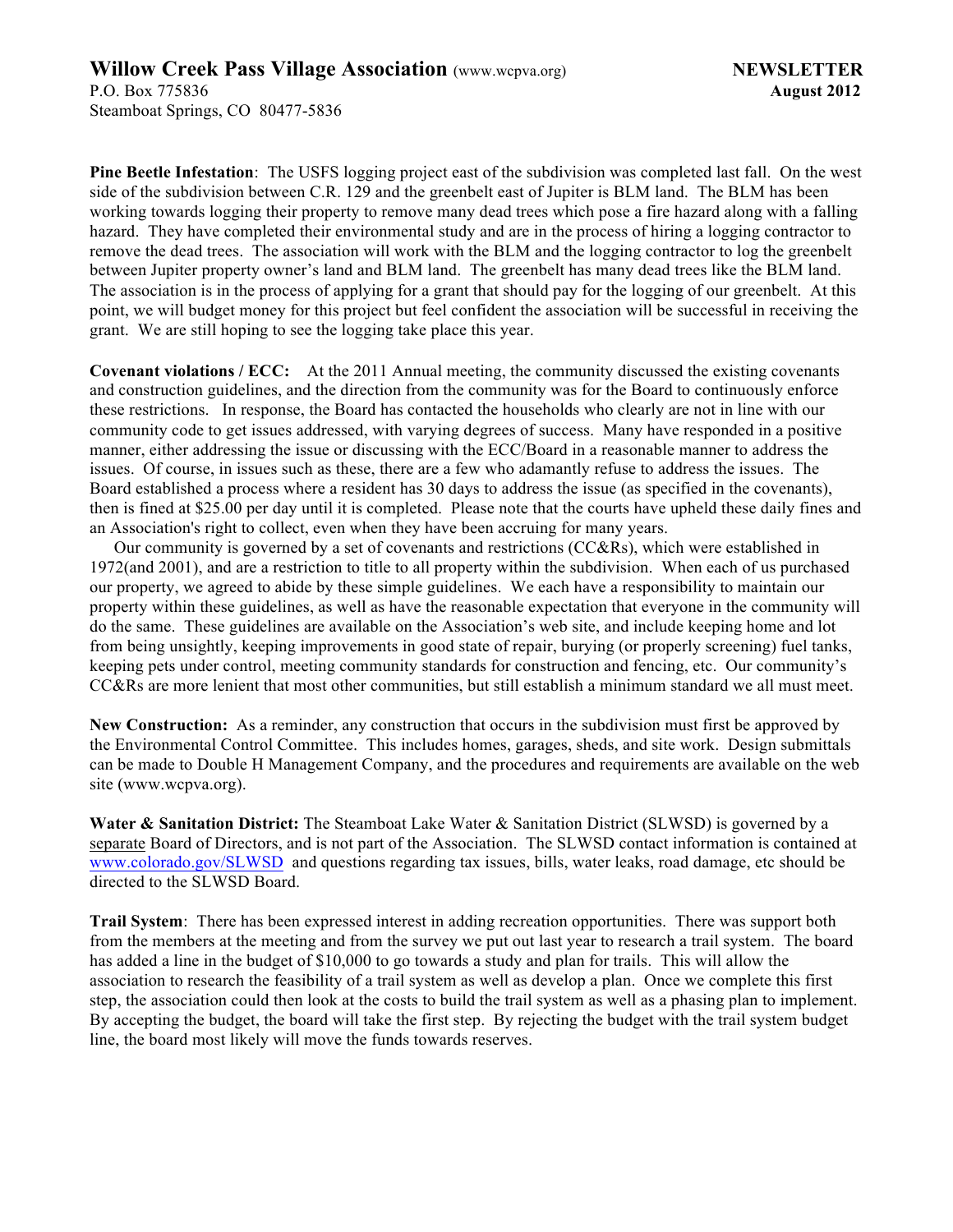**Pine Beetle Infestation**: The USFS logging project east of the subdivision was completed last fall. On the west side of the subdivision between C.R. 129 and the greenbelt east of Jupiter is BLM land. The BLM has been working towards logging their property to remove many dead trees which pose a fire hazard along with a falling hazard. They have completed their environmental study and are in the process of hiring a logging contractor to remove the dead trees. The association will work with the BLM and the logging contractor to log the greenbelt between Jupiter property owner's land and BLM land. The greenbelt has many dead trees like the BLM land. The association is in the process of applying for a grant that should pay for the logging of our greenbelt. At this point, we will budget money for this project but feel confident the association will be successful in receiving the grant. We are still hoping to see the logging take place this year.

**Covenant violations / ECC:** At the 2011 Annual meeting, the community discussed the existing covenants and construction guidelines, and the direction from the community was for the Board to continuously enforce these restrictions. In response, the Board has contacted the households who clearly are not in line with our community code to get issues addressed, with varying degrees of success. Many have responded in a positive manner, either addressing the issue or discussing with the ECC/Board in a reasonable manner to address the issues. Of course, in issues such as these, there are a few who adamantly refuse to address the issues. The Board established a process where a resident has 30 days to address the issue (as specified in the covenants), then is fined at \$25.00 per day until it is completed. Please note that the courts have upheld these daily fines and an Association's right to collect, even when they have been accruing for many years.

Our community is governed by a set of covenants and restrictions (CC&Rs), which were established in 1972(and 2001), and are a restriction to title to all property within the subdivision. When each of us purchased our property, we agreed to abide by these simple guidelines. We each have a responsibility to maintain our property within these guidelines, as well as have the reasonable expectation that everyone in the community will do the same. These guidelines are available on the Association's web site, and include keeping home and lot from being unsightly, keeping improvements in good state of repair, burying (or properly screening) fuel tanks, keeping pets under control, meeting community standards for construction and fencing, etc. Our community's CC&Rs are more lenient that most other communities, but still establish a minimum standard we all must meet.

**New Construction:** As a reminder, any construction that occurs in the subdivision must first be approved by the Environmental Control Committee. This includes homes, garages, sheds, and site work. Design submittals can be made to Double H Management Company, and the procedures and requirements are available on the web site (www.wcpva.org).

**Water & Sanitation District:** The Steamboat Lake Water & Sanitation District (SLWSD) is governed by a separate Board of Directors, and is not part of the Association. The SLWSD contact information is contained at www.colorado.gov/SLWSD and questions regarding tax issues, bills, water leaks, road damage, etc should be directed to the SLWSD Board.

**Trail System**: There has been expressed interest in adding recreation opportunities. There was support both from the members at the meeting and from the survey we put out last year to research a trail system. The board has added a line in the budget of \$10,000 to go towards a study and plan for trails. This will allow the association to research the feasibility of a trail system as well as develop a plan. Once we complete this first step, the association could then look at the costs to build the trail system as well as a phasing plan to implement. By accepting the budget, the board will take the first step. By rejecting the budget with the trail system budget line, the board most likely will move the funds towards reserves.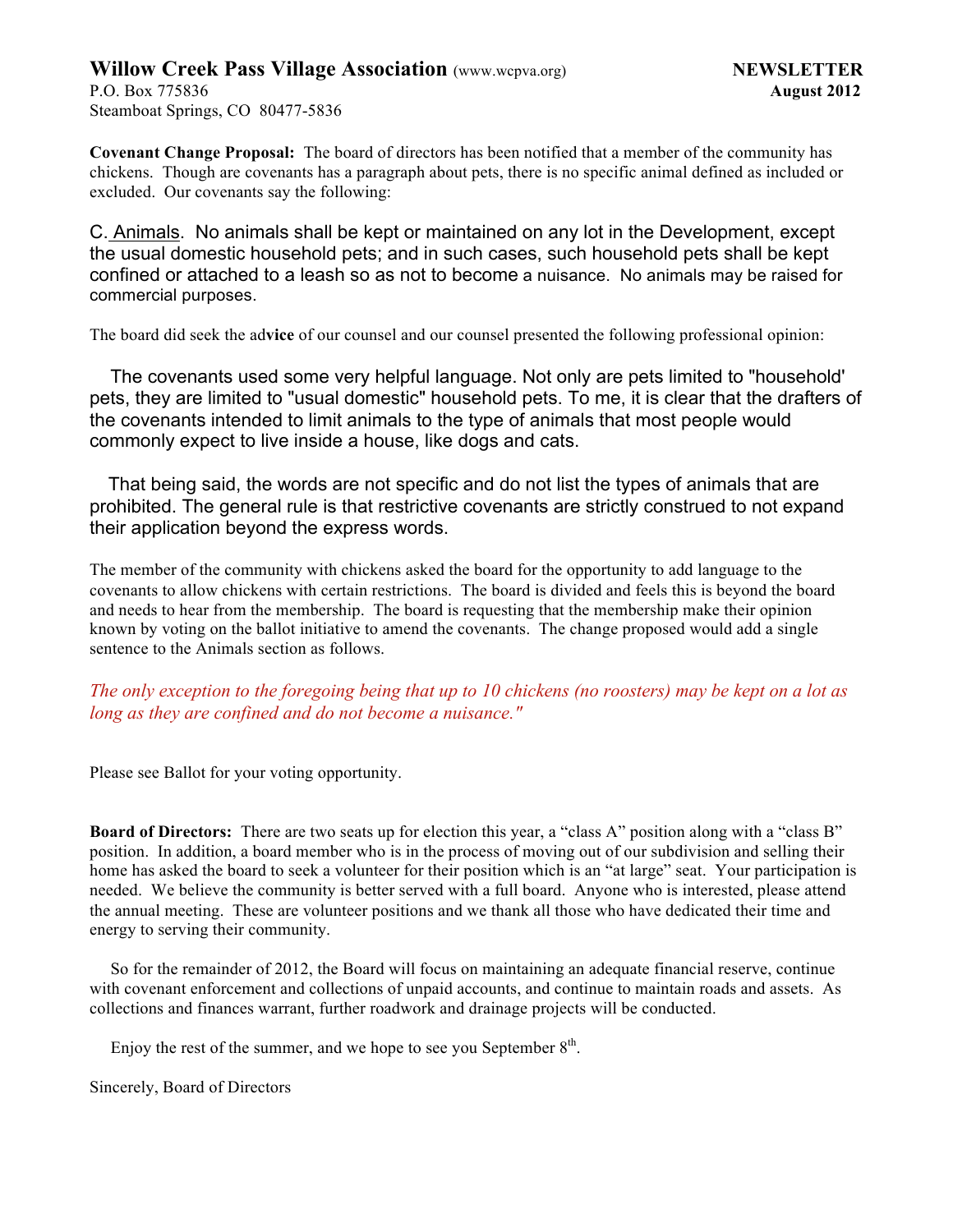**Covenant Change Proposal:** The board of directors has been notified that a member of the community has chickens. Though are covenants has a paragraph about pets, there is no specific animal defined as included or excluded. Our covenants say the following:

C. Animals. No animals shall be kept or maintained on any lot in the Development, except the usual domestic household pets; and in such cases, such household pets shall be kept confined or attached to a leash so as not to become a nuisance. No animals may be raised for commercial purposes.

The board did seek the ad**vice** of our counsel and our counsel presented the following professional opinion:

 The covenants used some very helpful language. Not only are pets limited to "household' pets, they are limited to "usual domestic" household pets. To me, it is clear that the drafters of the covenants intended to limit animals to the type of animals that most people would commonly expect to live inside a house, like dogs and cats.

 That being said, the words are not specific and do not list the types of animals that are prohibited. The general rule is that restrictive covenants are strictly construed to not expand their application beyond the express words.

The member of the community with chickens asked the board for the opportunity to add language to the covenants to allow chickens with certain restrictions. The board is divided and feels this is beyond the board and needs to hear from the membership. The board is requesting that the membership make their opinion known by voting on the ballot initiative to amend the covenants. The change proposed would add a single sentence to the Animals section as follows.

*The only exception to the foregoing being that up to 10 chickens (no roosters) may be kept on a lot as long as they are confined and do not become a nuisance."*

Please see Ballot for your voting opportunity.

**Board of Directors:** There are two seats up for election this year, a "class A" position along with a "class B" position. In addition, a board member who is in the process of moving out of our subdivision and selling their home has asked the board to seek a volunteer for their position which is an "at large" seat. Your participation is needed. We believe the community is better served with a full board. Anyone who is interested, please attend the annual meeting. These are volunteer positions and we thank all those who have dedicated their time and energy to serving their community.

So for the remainder of 2012, the Board will focus on maintaining an adequate financial reserve, continue with covenant enforcement and collections of unpaid accounts, and continue to maintain roads and assets. As collections and finances warrant, further roadwork and drainage projects will be conducted.

Enjoy the rest of the summer, and we hope to see you September  $8<sup>th</sup>$ .

Sincerely, Board of Directors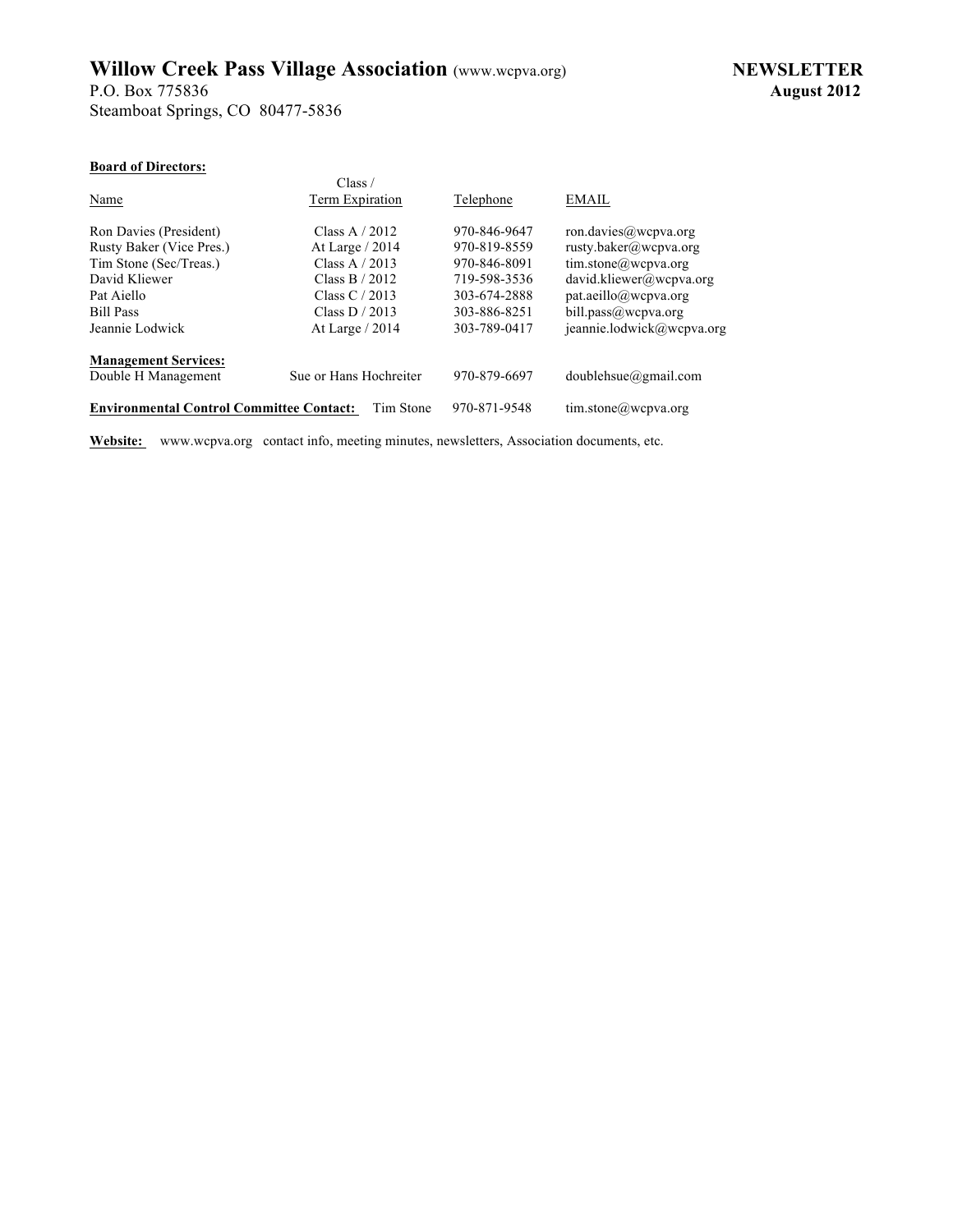P.O. Box 775836 **August 2012** Steamboat Springs, CO 80477-5836

#### **Board of Directors:**

| board of birtetors.                             |                        |              |                           |
|-------------------------------------------------|------------------------|--------------|---------------------------|
|                                                 | Class /                |              |                           |
| Name                                            | Term Expiration        | Telephone    | <b>EMAIL</b>              |
| Ron Davies (President)                          | Class A $/ 2012$       | 970-846-9647 | ron.davies@wcpva.org      |
| Rusty Baker (Vice Pres.)                        | At Large $/ 2014$      | 970-819-8559 | rusty.baker@wcpva.org     |
| Tim Stone (Sec/Treas.)                          | Class A $/ 2013$       | 970-846-8091 | tim.stone@wcpva.org       |
| David Kliewer                                   | Class $B / 2012$       | 719-598-3536 | david.kliewer@wcpva.org   |
| Pat Aiello                                      | Class $C/2013$         | 303-674-2888 | pat.aeillo@wcpva.org      |
| <b>Bill Pass</b>                                | Class $D / 2013$       | 303-886-8251 | bill.pass@wcpva.org       |
| Jeannie Lodwick                                 | At Large $/ 2014$      | 303-789-0417 | jeannie.lodwick@wcpva.org |
| <b>Management Services:</b>                     |                        |              |                           |
| Double H Management                             | Sue or Hans Hochreiter | 970-879-6697 | $doublehsu(agmail.com)$   |
| <b>Environmental Control Committee Contact:</b> | Tim Stone              | 970-871-9548 | tim.stone@wcpva.org       |

**Website:** www.wcpva.org contact info, meeting minutes, newsletters, Association documents, etc.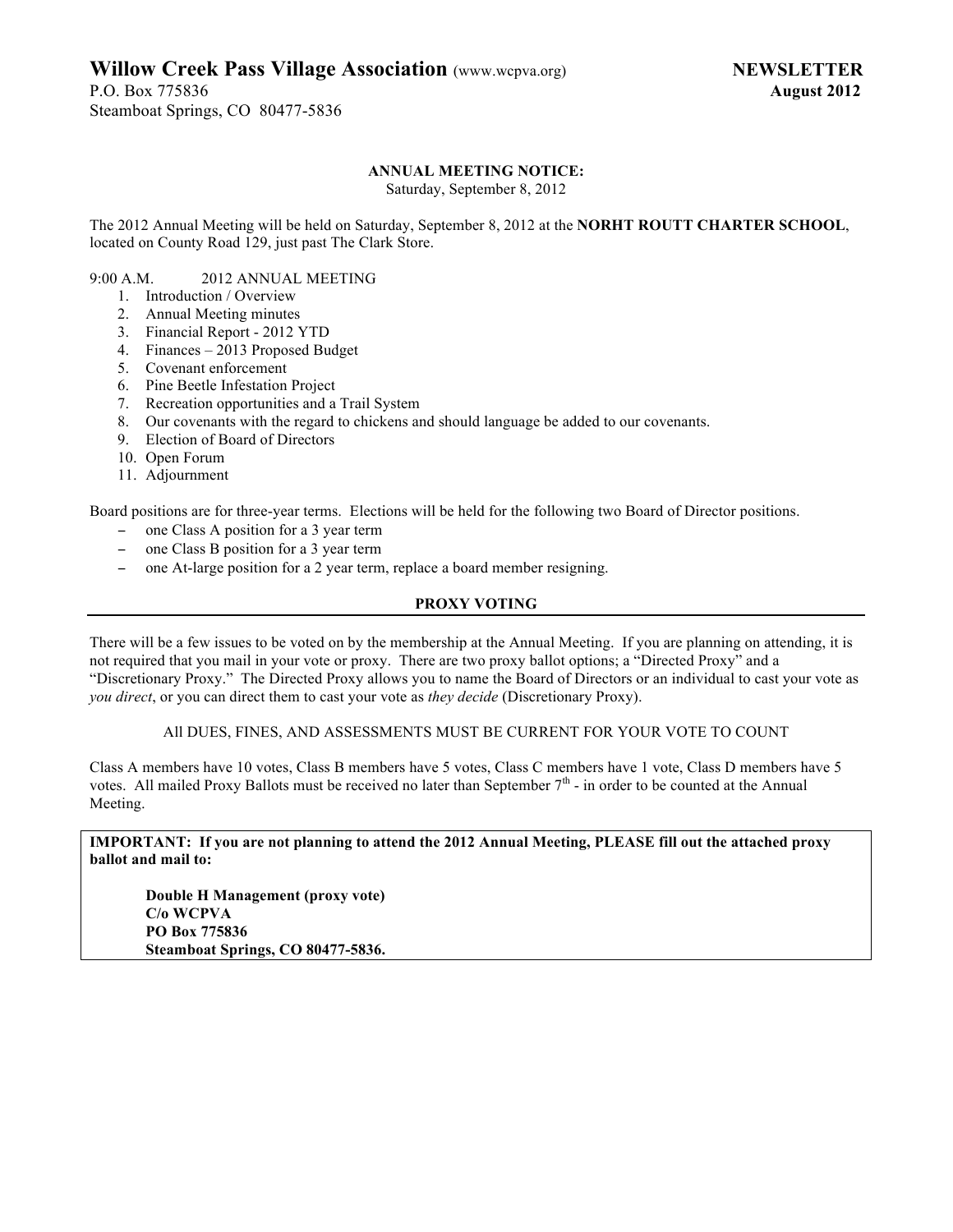P.O. Box 775836 **August 2012** Steamboat Springs, CO 80477-5836

#### **ANNUAL MEETING NOTICE:**

Saturday, September 8, 2012

The 2012 Annual Meeting will be held on Saturday, September 8, 2012 at the **NORHT ROUTT CHARTER SCHOOL**, located on County Road 129, just past The Clark Store.

#### 9:00 A.M. 2012 ANNUAL MEETING

- 1. Introduction / Overview
- 2. Annual Meeting minutes
- 3. Financial Report 2012 YTD
- 4. Finances 2013 Proposed Budget
- 5. Covenant enforcement
- 6. Pine Beetle Infestation Project
- 7. Recreation opportunities and a Trail System
- 8. Our covenants with the regard to chickens and should language be added to our covenants.
- 9. Election of Board of Directors
- 10. Open Forum
- 11. Adjournment

Board positions are for three-year terms. Elections will be held for the following two Board of Director positions.

- − one Class A position for a 3 year term
- − one Class B position for a 3 year term
- − one At-large position for a 2 year term, replace a board member resigning.

#### **PROXY VOTING**

There will be a few issues to be voted on by the membership at the Annual Meeting. If you are planning on attending, it is not required that you mail in your vote or proxy. There are two proxy ballot options; a "Directed Proxy" and a "Discretionary Proxy." The Directed Proxy allows you to name the Board of Directors or an individual to cast your vote as *you direct*, or you can direct them to cast your vote as *they decide* (Discretionary Proxy).

All DUES, FINES, AND ASSESSMENTS MUST BE CURRENT FOR YOUR VOTE TO COUNT

Class A members have 10 votes, Class B members have 5 votes, Class C members have 1 vote, Class D members have 5 votes. All mailed Proxy Ballots must be received no later than September  $7<sup>th</sup>$  - in order to be counted at the Annual Meeting.

**IMPORTANT: If you are not planning to attend the 2012 Annual Meeting, PLEASE fill out the attached proxy ballot and mail to:**

**Double H Management (proxy vote) C/o WCPVA PO Box 775836 Steamboat Springs, CO 80477-5836.**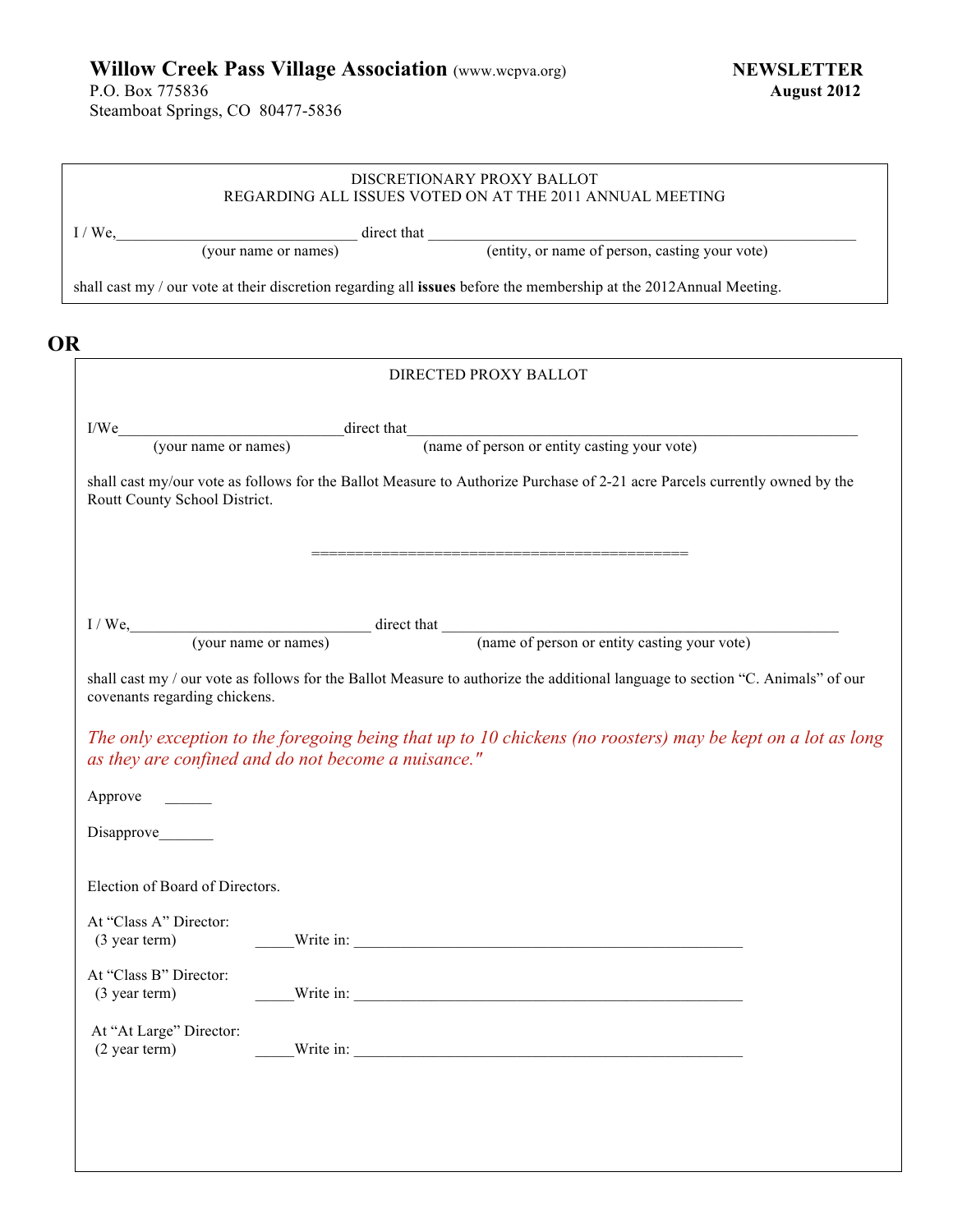P.O. Box 775836 **August 2012** Steamboat Springs, CO 80477-5836

| <b>OR</b><br>Routt County School District.<br>covenants regarding chickens. | I/We, (your name or names) direct that (entity, or name of person, casting your vote)<br>shall cast my / our vote at their discretion regarding all issues before the membership at the 2012Annual Meeting.<br>DIRECTED PROXY BALLOT<br>(your name or names) direct that<br>(name of person or entity casting your vote)<br>shall cast my/our vote as follows for the Ballot Measure to Authorize Purchase of 2-21 acre Parcels currently owned by the<br>I/We, (your name or names) direct that (name of person or entity casting your vote)<br>shall cast my / our vote as follows for the Ballot Measure to authorize the additional language to section "C. Animals" of our<br>The only exception to the foregoing being that up to 10 chickens (no roosters) may be kept on a lot as long<br>as they are confined and do not become a nuisance." |
|-----------------------------------------------------------------------------|-------------------------------------------------------------------------------------------------------------------------------------------------------------------------------------------------------------------------------------------------------------------------------------------------------------------------------------------------------------------------------------------------------------------------------------------------------------------------------------------------------------------------------------------------------------------------------------------------------------------------------------------------------------------------------------------------------------------------------------------------------------------------------------------------------------------------------------------------------|
|                                                                             |                                                                                                                                                                                                                                                                                                                                                                                                                                                                                                                                                                                                                                                                                                                                                                                                                                                       |
|                                                                             |                                                                                                                                                                                                                                                                                                                                                                                                                                                                                                                                                                                                                                                                                                                                                                                                                                                       |
|                                                                             |                                                                                                                                                                                                                                                                                                                                                                                                                                                                                                                                                                                                                                                                                                                                                                                                                                                       |
|                                                                             |                                                                                                                                                                                                                                                                                                                                                                                                                                                                                                                                                                                                                                                                                                                                                                                                                                                       |
|                                                                             |                                                                                                                                                                                                                                                                                                                                                                                                                                                                                                                                                                                                                                                                                                                                                                                                                                                       |
|                                                                             |                                                                                                                                                                                                                                                                                                                                                                                                                                                                                                                                                                                                                                                                                                                                                                                                                                                       |
|                                                                             |                                                                                                                                                                                                                                                                                                                                                                                                                                                                                                                                                                                                                                                                                                                                                                                                                                                       |
|                                                                             |                                                                                                                                                                                                                                                                                                                                                                                                                                                                                                                                                                                                                                                                                                                                                                                                                                                       |
|                                                                             |                                                                                                                                                                                                                                                                                                                                                                                                                                                                                                                                                                                                                                                                                                                                                                                                                                                       |
|                                                                             |                                                                                                                                                                                                                                                                                                                                                                                                                                                                                                                                                                                                                                                                                                                                                                                                                                                       |
|                                                                             |                                                                                                                                                                                                                                                                                                                                                                                                                                                                                                                                                                                                                                                                                                                                                                                                                                                       |
|                                                                             |                                                                                                                                                                                                                                                                                                                                                                                                                                                                                                                                                                                                                                                                                                                                                                                                                                                       |
|                                                                             |                                                                                                                                                                                                                                                                                                                                                                                                                                                                                                                                                                                                                                                                                                                                                                                                                                                       |
|                                                                             |                                                                                                                                                                                                                                                                                                                                                                                                                                                                                                                                                                                                                                                                                                                                                                                                                                                       |
|                                                                             |                                                                                                                                                                                                                                                                                                                                                                                                                                                                                                                                                                                                                                                                                                                                                                                                                                                       |
|                                                                             |                                                                                                                                                                                                                                                                                                                                                                                                                                                                                                                                                                                                                                                                                                                                                                                                                                                       |
|                                                                             |                                                                                                                                                                                                                                                                                                                                                                                                                                                                                                                                                                                                                                                                                                                                                                                                                                                       |
|                                                                             |                                                                                                                                                                                                                                                                                                                                                                                                                                                                                                                                                                                                                                                                                                                                                                                                                                                       |
| (3 year term)                                                               | Write in:                                                                                                                                                                                                                                                                                                                                                                                                                                                                                                                                                                                                                                                                                                                                                                                                                                             |
|                                                                             |                                                                                                                                                                                                                                                                                                                                                                                                                                                                                                                                                                                                                                                                                                                                                                                                                                                       |
| At "Class A" Director:<br>At "Class B" Director:<br>(3 year term)           | Write in:                                                                                                                                                                                                                                                                                                                                                                                                                                                                                                                                                                                                                                                                                                                                                                                                                                             |
| At "At Large" Director:<br>(2 year term)                                    | Write in:                                                                                                                                                                                                                                                                                                                                                                                                                                                                                                                                                                                                                                                                                                                                                                                                                                             |
| Approve<br>Disapprove<br>Election of Board of Directors.                    |                                                                                                                                                                                                                                                                                                                                                                                                                                                                                                                                                                                                                                                                                                                                                                                                                                                       |